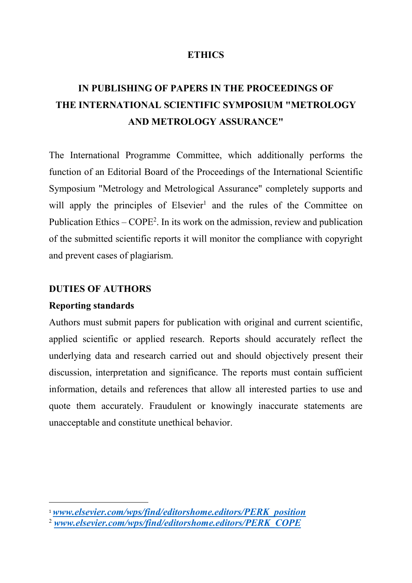### **ETHICS**

# **IN PUBLISHING OF PAPERS IN THE PROCEEDINGS OF THE INTERNATIONAL SCIENTIFIC SYMPOSIUM "METROLOGY AND METROLOGY ASSURANCE"**

The International Programme Committee, which additionally performs the function of an Editorial Board of the Proceedings of the International Scientific Symposium "Metrology and Metrological Assurance" completely supports and will apply the principles of Elsevier<sup>1</sup> and the rules of the Committee on Publication Ethics – COPE<sup>2</sup>. In its work on the admission, review and publication of the submitted scientific reports it will monitor the compliance with copyright and prevent cases of plagiarism.

#### **DUTIES OF AUTHORS**

#### **Reporting standards**

Authors must submit papers for publication with original and current scientific, applied scientific or applied research. Reports should accurately reflect the underlying data and research carried out and should objectively present their discussion, interpretation and significance. The reports must contain sufficient information, details and references that allow all interested parties to use and quote them accurately. Fraudulent or knowingly inaccurate statements are unacceptable and constitute unethical behavior.

<sup>1</sup>*www.elsevier.com/wps/find/editorshome.editors/PERK\_position*

<sup>2</sup> *www.elsevier.com/wps/find/editorshome.editors/PERK\_COPE*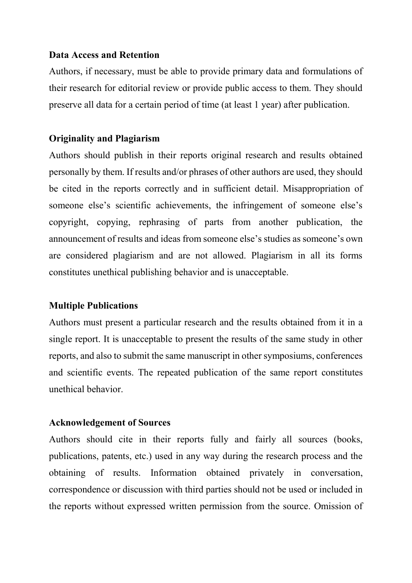#### **Data Access and Retention**

Authors, if necessary, must be able to provide primary data and formulations of their research for editorial review or provide public access to them. They should preserve all data for a certain period of time (at least 1 year) after publication.

### **Originality and Plagiarism**

Authors should publish in their reports original research and results obtained personally by them. If results and/or phrases of other authors are used, they should be cited in the reports correctly and in sufficient detail. Misappropriation of someone else's scientific achievements, the infringement of someone else's copyright, copying, rephrasing of parts from another publication, the announcement of results and ideas from someone else's studies as someone's own are considered plagiarism and are not allowed. Plagiarism in all its forms constitutes unethical publishing behavior and is unacceptable.

#### **Multiple Publications**

Authors must present a particular research and the results obtained from it in a single report. It is unacceptable to present the results of the same study in other reports, and also to submit the same manuscript in other symposiums, conferences and scientific events. The repeated publication of the same report constitutes unethical behavior.

#### **Acknowledgement of Sources**

Authors should cite in their reports fully and fairly all sources (books, publications, patents, etc.) used in any way during the research process and the obtaining of results. Information obtained privately in conversation, correspondence or discussion with third parties should not be used or included in the reports without expressed written permission from the source. Omission of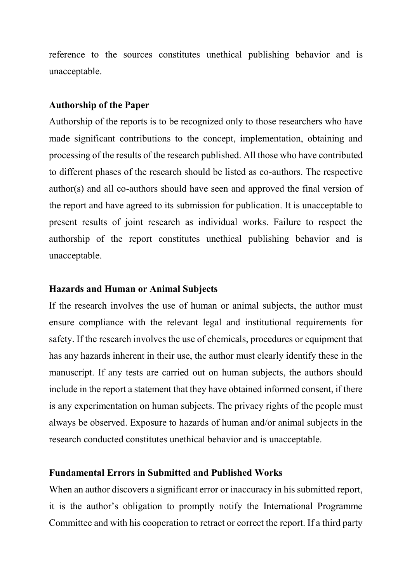reference to the sources constitutes unethical publishing behavior and is unacceptable.

#### **Authorship of the Paper**

Authorship of the reports is to be recognized only to those researchers who have made significant contributions to the concept, implementation, obtaining and processing of the results of the research published. All those who have contributed to different phases of the research should be listed as co-authors. The respective author(s) and all co-authors should have seen and approved the final version of the report and have agreed to its submission for publication. It is unacceptable to present results of joint research as individual works. Failure to respect the authorship of the report constitutes unethical publishing behavior and is unacceptable.

#### **Hazards and Human or Animal Subjects**

If the research involves the use of human or animal subjects, the author must ensure compliance with the relevant legal and institutional requirements for safety. If the research involves the use of chemicals, procedures or equipment that has any hazards inherent in their use, the author must clearly identify these in the manuscript. If any tests are carried out on human subjects, the authors should include in the report a statement that they have obtained informed consent, if there is any experimentation on human subjects. The privacy rights of the people must always be observed. Exposure to hazards of human and/or animal subjects in the research conducted constitutes unethical behavior and is unacceptable.

#### **Fundamental Errors in Submitted and Published Works**

When an author discovers a significant error or inaccuracy in his submitted report, it is the author's obligation to promptly notify the International Programme Committee and with his cooperation to retract or correct the report. If a third party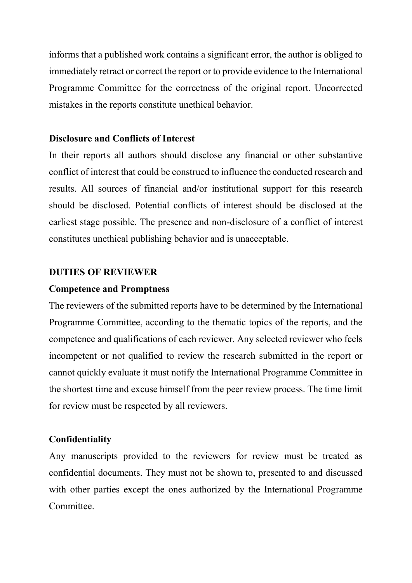informs that a published work contains a significant error, the author is obliged to immediately retract or correct the report or to provide evidence to the International Programme Committee for the correctness of the original report. Uncorrected mistakes in the reports constitute unethical behavior.

### **Disclosure and Conflicts of Interest**

In their reports all authors should disclose any financial or other substantive conflict of interest that could be construed to influence the conducted research and results. All sources of financial and/or institutional support for this research should be disclosed. Potential conflicts of interest should be disclosed at the earliest stage possible. The presence and non-disclosure of a conflict of interest constitutes unethical publishing behavior and is unacceptable.

### **DUTIES OF REVIEWER**

### **Competence and Promptness**

The reviewers of the submitted reports have to be determined by the International Programme Committee, according to the thematic topics of the reports, and the competence and qualifications of each reviewer. Any selected reviewer who feels incompetent or not qualified to review the research submitted in the report or cannot quickly evaluate it must notify the International Programme Committee in the shortest time and excuse himself from the peer review process. The time limit for review must be respected by all reviewers.

### **Confidentiality**

Any manuscripts provided to the reviewers for review must be treated as confidential documents. They must not be shown to, presented to and discussed with other parties except the ones authorized by the International Programme **Committee**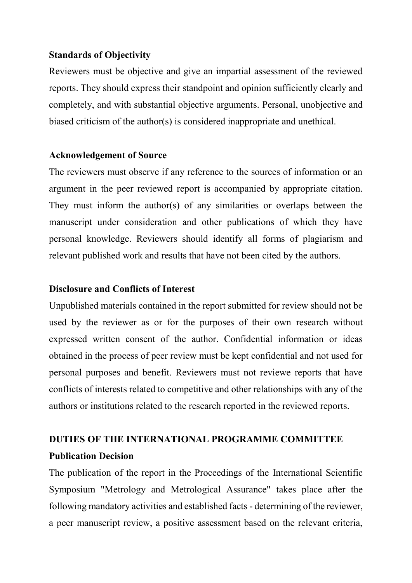### **Standards of Objectivity**

Reviewers must be objective and give an impartial assessment of the reviewed reports. They should express their standpoint and opinion sufficiently clearly and completely, and with substantial objective arguments. Personal, unobjective and biased criticism of the author(s) is considered inappropriate and unethical.

### **Acknowledgement of Source**

The reviewers must observe if any reference to the sources of information or an argument in the peer reviewed report is accompanied by appropriate citation. They must inform the author(s) of any similarities or overlaps between the manuscript under consideration and other publications of which they have personal knowledge. Reviewers should identify all forms of plagiarism and relevant published work and results that have not been cited by the authors.

### **Disclosure and Conflicts of Interest**

Unpublished materials contained in the report submitted for review should not be used by the reviewer as or for the purposes of their own research without expressed written consent of the author. Confidential information or ideas obtained in the process of peer review must be kept confidential and not used for personal purposes and benefit. Reviewers must not reviewe reports that have conflicts of interests related to competitive and other relationships with any of the authors or institutions related to the research reported in the reviewed reports.

## **DUTIES OF THE INTERNATIONAL PROGRAMME COMMITTEE Publication Decision**

The publication of the report in the Proceedings of the International Scientific Symposium "Metrology and Metrological Assurance" takes place after the following mandatory activities and established facts - determining of the reviewer, a peer manuscript review, a positive assessment based on the relevant criteria,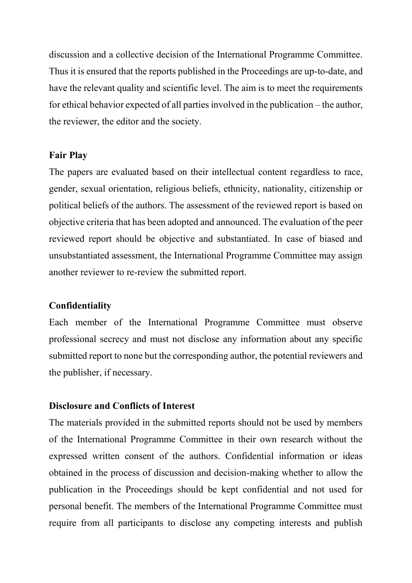discussion and a collective decision of the International Programme Committee. Thus it is ensured that the reports published in the Proceedings are up-to-date, and have the relevant quality and scientific level. The aim is to meet the requirements for ethical behavior expected of all parties involved in the publication – the author, the reviewer, the editor and the society.

### **Fair Play**

The papers are evaluated based on their intellectual content regardless to race, gender, sexual orientation, religious beliefs, ethnicity, nationality, citizenship or political beliefs of the authors. The assessment of the reviewed report is based on objective criteria that has been adopted and announced. The evaluation of the peer reviewed report should be objective and substantiated. In case of biased and unsubstantiated assessment, the International Programme Committee may assign another reviewer to re-review the submitted report.

### **Confidentiality**

Each member of the International Programme Committee must observe professional secrecy and must not disclose any information about any specific submitted report to none but the corresponding author, the potential reviewers and the publisher, if necessary.

### **Disclosure and Conflicts of Interest**

The materials provided in the submitted reports should not be used by members of the International Programme Committee in their own research without the expressed written consent of the authors. Confidential information or ideas obtained in the process of discussion and decision-making whether to allow the publication in the Proceedings should be kept confidential and not used for personal benefit. The members of the International Programme Committee must require from all participants to disclose any competing interests and publish